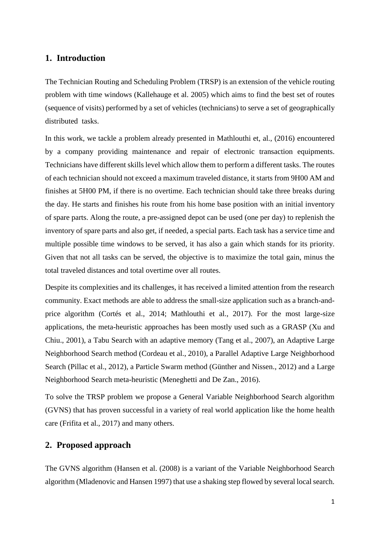### **1. Introduction**

The Technician Routing and Scheduling Problem (TRSP) is an extension of the vehicle routing problem with time windows (Kallehauge et al. 2005) which aims to find the best set of routes (sequence of visits) performed by a set of vehicles (technicians) to serve a set of geographically distributed tasks.

In this work, we tackle a problem already presented in Mathlouthi et, al., (2016) encountered by a company providing maintenance and repair of electronic transaction equipments. Technicians have different skills level which allow them to perform a different tasks. The routes of each technician should not exceed a maximum traveled distance, it starts from 9H00 AM and finishes at 5H00 PM, if there is no overtime. Each technician should take three breaks during the day. He starts and finishes his route from his home base position with an initial inventory of spare parts. Along the route, a pre-assigned depot can be used (one per day) to replenish the inventory of spare parts and also get, if needed, a special parts. Each task has a service time and multiple possible time windows to be served, it has also a gain which stands for its priority. Given that not all tasks can be served, the objective is to maximize the total gain, minus the total traveled distances and total overtime over all routes.

Despite its complexities and its challenges, it has received a limited attention from the research community. Exact methods are able to address the small-size application such as a branch-andprice algorithm (Cortés et al., 2014; Mathlouthi et al., 2017). For the most large-size applications, the meta-heuristic approaches has been mostly used such as a GRASP (Xu and Chiu., 2001), a Tabu Search with an adaptive memory (Tang et al., 2007), an Adaptive Large Neighborhood Search method (Cordeau et al., 2010), a Parallel Adaptive Large Neighborhood Search (Pillac et al., 2012), a Particle Swarm method (Günther and Nissen., 2012) and a Large Neighborhood Search meta-heuristic (Meneghetti and De Zan., 2016).

To solve the TRSP problem we propose a General Variable Neighborhood Search algorithm (GVNS) that has proven successful in a variety of real world application like the home health care (Frifita et al., 2017) and many others.

### **2. Proposed approach**

The GVNS algorithm (Hansen et al. (2008) is a variant of the Variable Neighborhood Search algorithm (Mladenovic and Hansen 1997) that use a shaking step flowed by several local search.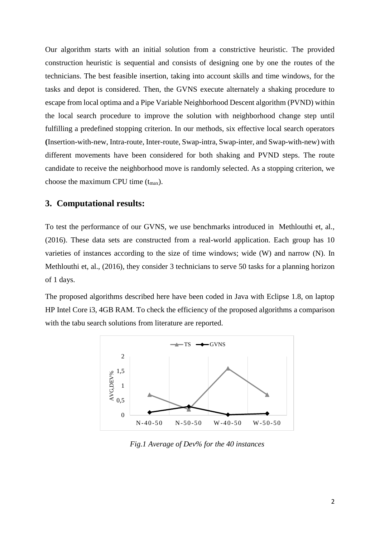Our algorithm starts with an initial solution from a constrictive heuristic. The provided construction heuristic is sequential and consists of designing one by one the routes of the technicians. The best feasible insertion, taking into account skills and time windows, for the tasks and depot is considered. Then, the GVNS execute alternately a shaking procedure to escape from local optima and a Pipe Variable Neighborhood Descent algorithm (PVND) within the local search procedure to improve the solution with neighborhood change step until fulfilling a predefined stopping criterion. In our methods, six effective local search operators **(**Insertion-with-new, Intra-route, Inter-route, Swap-intra, Swap-inter, and Swap-with-new) with different movements have been considered for both shaking and PVND steps. The route candidate to receive the neighborhood move is randomly selected. As a stopping criterion, we choose the maximum CPU time  $(t_{max})$ .

#### **3. Computational results:**

To test the performance of our GVNS, we use benchmarks introduced in Methlouthi et, al., (2016). These data sets are constructed from a real-world application. Each group has 10 varieties of instances according to the size of time windows; wide (W) and narrow (N). In Methlouthi et, al., (2016), they consider 3 technicians to serve 50 tasks for a planning horizon of 1 days.

The proposed algorithms described here have been coded in Java with Eclipse 1.8, on laptop HP Intel Core i3, 4GB RAM. To check the efficiency of the proposed algorithms a comparison with the tabu search solutions from literature are reported.



*Fig.1 Average of Dev% for the 40 instances*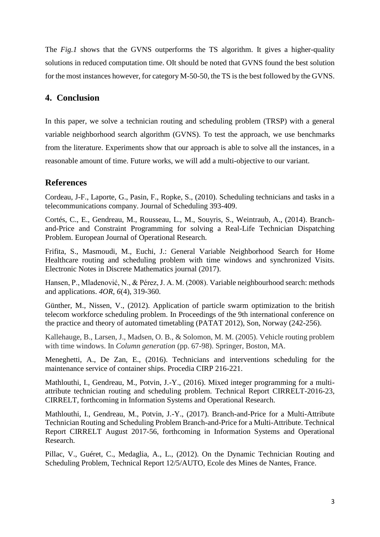The *Fig.1* shows that the GVNS outperforms the TS algorithm. It gives a higher-quality solutions in reduced computation time. OIt should be noted that GVNS found the best solution for the most instances however, for category M-50-50, the TS is the best followed by the GVNS.

# **4. Conclusion**

In this paper, we solve a technician routing and scheduling problem (TRSP) with a general variable neighborhood search algorithm (GVNS). To test the approach, we use benchmarks from the literature. Experiments show that our approach is able to solve all the instances, in a reasonable amount of time. Future works, we will add a multi-objective to our variant.

# **References**

Cordeau, J-F., Laporte, G., Pasin, F., Ropke, S., (2010). Scheduling technicians and tasks in a telecommunications company. Journal of Scheduling 393-409.

Cortés, C., E., Gendreau, M., Rousseau, L., M., Souyris, S., Weintraub, A., (2014). Branchand-Price and Constraint Programming for solving a Real-Life Technician Dispatching Problem. European Journal of Operational Research.

Frifita, S., Masmoudi, M., Euchi, J.: General Variable Neighborhood Search for Home Healthcare routing and scheduling problem with time windows and synchronized Visits. Electronic Notes in Discrete Mathematics journal (2017).

Hansen, P., Mladenović, N., & Pérez, J. A. M. (2008). Variable neighbourhood search: methods and applications. *4OR*, *6*(4), 319-360.

Günther, M., Nissen, V., (2012). Application of particle swarm optimization to the british telecom workforce scheduling problem. In Proceedings of the 9th international conference on the practice and theory of automated timetabling (PATAT 2012), Son, Norway (242-256).

Kallehauge, B., Larsen, J., Madsen, O. B., & Solomon, M. M. (2005). Vehicle routing problem with time windows. In *Column generation* (pp. 67-98). Springer, Boston, MA.

Meneghetti, A., De Zan, E., (2016). Technicians and interventions scheduling for the maintenance service of container ships. Procedia CIRP 216-221.

Mathlouthi, I., Gendreau, M., Potvin, J.-Y., (2016). Mixed integer programming for a multiattribute technician routing and scheduling problem. Technical Report CIRRELT-2016-23, CIRRELT, forthcoming in Information Systems and Operational Research.

Mathlouthi, I., Gendreau, M., Potvin, J.-Y., (2017). Branch-and-Price for a Multi-Attribute Technician Routing and Scheduling Problem Branch-and-Price for a Multi-Attribute. Technical Report CIRRELT August 2017-56, forthcoming in Information Systems and Operational Research.

Pillac, V., Guéret, C., Medaglia, A., L., (2012). On the Dynamic Technician Routing and Scheduling Problem, Technical Report 12/5/AUTO, Ecole des Mines de Nantes, France.